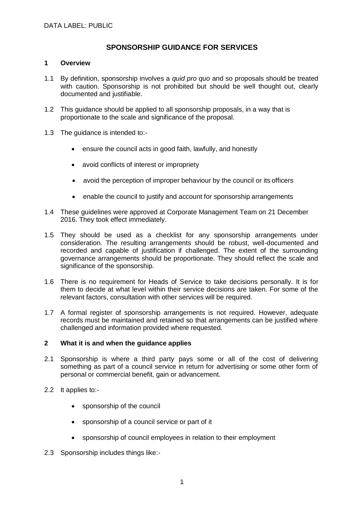## **SPONSORSHIP GUIDANCE FOR SERVICES**

## **1 Overview**

- 1.1 By definition, sponsorship involves a *quid pro quo* and so proposals should be treated with caution. Sponsorship is not prohibited but should be well thought out, clearly documented and justifiable.
- 1.2 This guidance should be applied to all sponsorship proposals, in a way that is proportionate to the scale and significance of the proposal.
- 1.3 The guidance is intended to:
	- ensure the council acts in good faith, lawfully, and honestly
	- avoid conflicts of interest or impropriety
	- avoid the perception of improper behaviour by the council or its officers
	- enable the council to justify and account for sponsorship arrangements
- 1.4 These guidelines were approved at Corporate Management Team on 21 December 2016. They took effect immediately.
- 1.5 They should be used as a checklist for any sponsorship arrangements under consideration. The resulting arrangements should be robust, well-documented and recorded and capable of justification if challenged. The extent of the surrounding governance arrangements should be proportionate. They should reflect the scale and significance of the sponsorship.
- 1.6 There is no requirement for Heads of Service to take decisions personally. It is for them to decide at what level within their service decisions are taken. For some of the relevant factors, consultation with other services will be required.
- 1.7 A formal register of sponsorship arrangements is not required. However, adequate records must be maintained and retained so that arrangements can be justified where challenged and information provided where requested.

## **2 What it is and when the guidance applies**

- 2.1 Sponsorship is where a third party pays some or all of the cost of delivering something as part of a council service in return for advertising or some other form of personal or commercial benefit, gain or advancement.
- 2.2 It applies to:
	- sponsorship of the council
	- sponsorship of a council service or part of it
	- sponsorship of council employees in relation to their employment
- 2.3 Sponsorship includes things like:-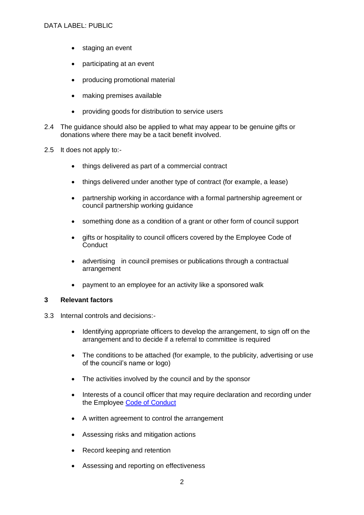- staging an event
- participating at an event
- producing promotional material
- making premises available
- providing goods for distribution to service users
- 2.4 The guidance should also be applied to what may appear to be genuine gifts or donations where there may be a tacit benefit involved.
- 2.5 It does not apply to:
	- things delivered as part of a commercial contract
	- things delivered under another type of contract (for example, a lease)
	- partnership working in accordance with a formal partnership agreement or council partnership working guidance
	- something done as a condition of a grant or other form of council support
	- gifts or hospitality to council officers covered by the Employee Code of **Conduct**
	- advertising in council premises or publications through a contractual arrangement
	- payment to an employee for an activity like a sponsored walk

## **3 Relevant factors**

- 3.3 Internal controls and decisions:-
	- Identifying appropriate officers to develop the arrangement, to sign off on the arrangement and to decide if a referral to committee is required
	- The conditions to be attached (for example, to the publicity, advertising or use of the council's name or logo)
	- The activities involved by the council and by the sponsor
	- Interests of a council officer that may require declaration and recording under the Employee [Code of Conduct](https://www.westlothian.gov.uk/media/1553/Code-of-Conduct/doc/CodeOfConductForEmployees.docx)
	- A written agreement to control the arrangement
	- Assessing risks and mitigation actions
	- Record keeping and retention
	- Assessing and reporting on effectiveness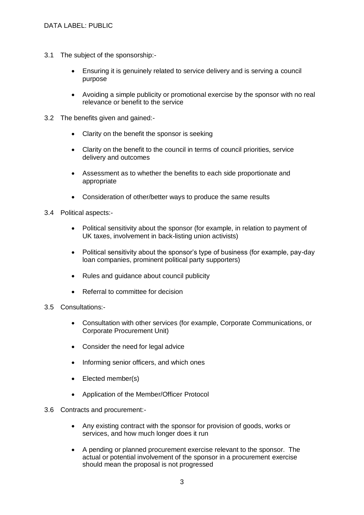- 3.1 The subject of the sponsorship:-
	- Ensuring it is genuinely related to service delivery and is serving a council purpose
	- Avoiding a simple publicity or promotional exercise by the sponsor with no real relevance or benefit to the service
- 3.2 The benefits given and gained:-
	- Clarity on the benefit the sponsor is seeking
	- Clarity on the benefit to the council in terms of council priorities, service delivery and outcomes
	- Assessment as to whether the benefits to each side proportionate and appropriate
	- Consideration of other/better ways to produce the same results
- 3.4 Political aspects:-
	- Political sensitivity about the sponsor (for example, in relation to payment of UK taxes, involvement in back-listing union activists)
	- Political sensitivity about the sponsor's type of business (for example, pay-day loan companies, prominent political party supporters)
	- Rules and quidance about council publicity
	- Referral to committee for decision
- 3.5 Consultations:-
	- Consultation with other services (for example, Corporate Communications, or Corporate Procurement Unit)
	- Consider the need for legal advice
	- Informing senior officers, and which ones
	- Elected member(s)
	- Application of the Member/Officer Protocol
- 3.6 Contracts and procurement:-
	- Any existing contract with the sponsor for provision of goods, works or services, and how much longer does it run
	- A pending or planned procurement exercise relevant to the sponsor. The actual or potential involvement of the sponsor in a procurement exercise should mean the proposal is not progressed